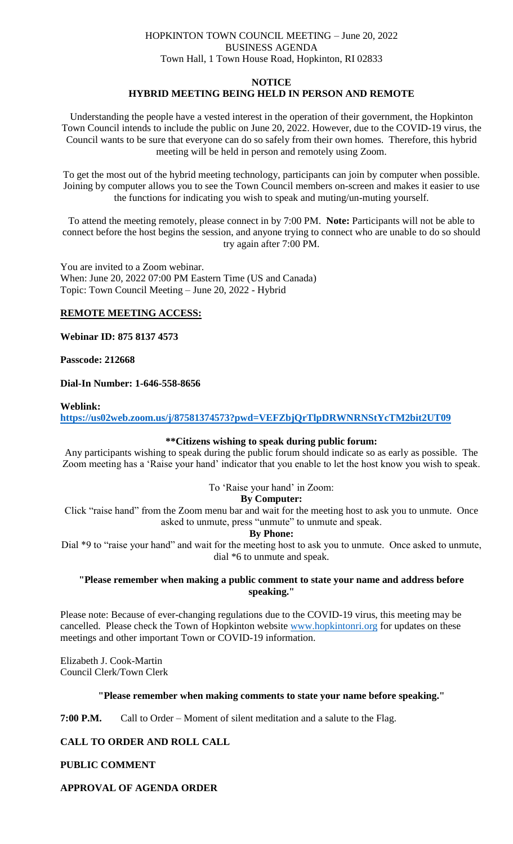# HOPKINTON TOWN COUNCIL MEETING – June 20, 2022 BUSINESS AGENDA Town Hall, 1 Town House Road, Hopkinton, RI 02833

### **NOTICE**

# **HYBRID MEETING BEING HELD IN PERSON AND REMOTE**

Understanding the people have a vested interest in the operation of their government, the Hopkinton Town Council intends to include the public on June 20, 2022. However, due to the COVID-19 virus, the Council wants to be sure that everyone can do so safely from their own homes. Therefore, this hybrid meeting will be held in person and remotely using Zoom.

To get the most out of the hybrid meeting technology, participants can join by computer when possible. Joining by computer allows you to see the Town Council members on-screen and makes it easier to use the functions for indicating you wish to speak and muting/un-muting yourself.

To attend the meeting remotely, please connect in by 7:00 PM. **Note:** Participants will not be able to connect before the host begins the session, and anyone trying to connect who are unable to do so should try again after 7:00 PM.

You are invited to a Zoom webinar. When: June 20, 2022 07:00 PM Eastern Time (US and Canada) Topic: Town Council Meeting – June 20, 2022 - Hybrid

## **REMOTE MEETING ACCESS:**

**Webinar ID: 875 8137 4573**

## **Passcode: 212668**

# **Dial-In Number: 1-646-558-8656**

### **Weblink:**

**<https://us02web.zoom.us/j/87581374573?pwd=VEFZbjQrTlpDRWNRNStYcTM2bit2UT09>**

### **\*\*Citizens wishing to speak during public forum:**

Any participants wishing to speak during the public forum should indicate so as early as possible. The Zoom meeting has a 'Raise your hand' indicator that you enable to let the host know you wish to speak.

To 'Raise your hand' in Zoom:

### **By Computer:**

Click "raise hand" from the Zoom menu bar and wait for the meeting host to ask you to unmute. Once asked to unmute, press "unmute" to unmute and speak.

### **By Phone:**

Dial \*9 to "raise your hand" and wait for the meeting host to ask you to unmute. Once asked to unmute, dial \*6 to unmute and speak.

# **"Please remember when making a public comment to state your name and address before speaking."**

Please note: Because of ever-changing regulations due to the COVID-19 virus, this meeting may be cancelled. Please check the Town of Hopkinton website [www.hopkintonri.org](http://www.hopkintonri.org/) for updates on these meetings and other important Town or COVID-19 information.

Elizabeth J. Cook-Martin Council Clerk/Town Clerk

# **"Please remember when making comments to state your name before speaking."**

**7:00 P.M.** Call to Order – Moment of silent meditation and a salute to the Flag.

# **CALL TO ORDER AND ROLL CALL**

**PUBLIC COMMENT** 

# **APPROVAL OF AGENDA ORDER**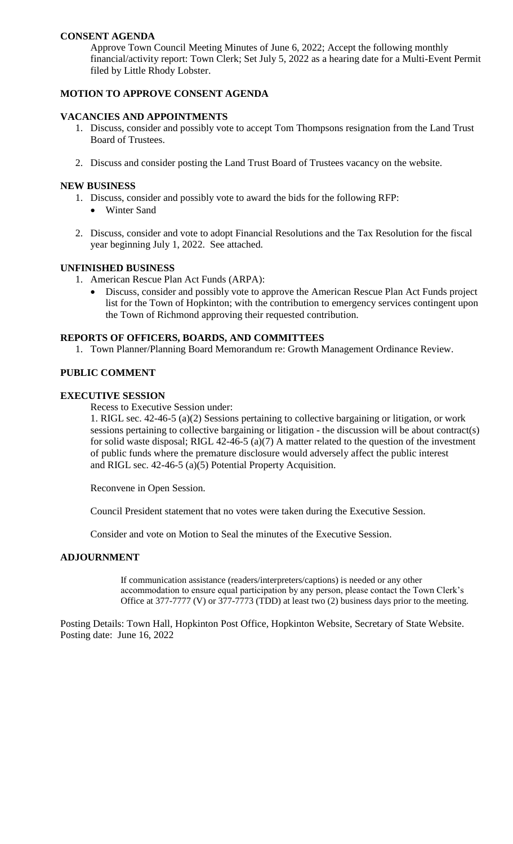# **CONSENT AGENDA**

Approve Town Council Meeting Minutes of June 6, 2022; Accept the following monthly financial/activity report: Town Clerk; Set July 5, 2022 as a hearing date for a Multi-Event Permit filed by Little Rhody Lobster.

# **MOTION TO APPROVE CONSENT AGENDA**

# **VACANCIES AND APPOINTMENTS**

- 1. Discuss, consider and possibly vote to accept Tom Thompsons resignation from the Land Trust Board of Trustees.
- 2. Discuss and consider posting the Land Trust Board of Trustees vacancy on the website.

## **NEW BUSINESS**

- 1. Discuss, consider and possibly vote to award the bids for the following RFP:
	- Winter Sand
- 2. Discuss, consider and vote to adopt Financial Resolutions and the Tax Resolution for the fiscal year beginning July 1, 2022. See attached.

# **UNFINISHED BUSINESS**

- 1. American Rescue Plan Act Funds (ARPA):
	- Discuss, consider and possibly vote to approve the American Rescue Plan Act Funds project list for the Town of Hopkinton; with the contribution to emergency services contingent upon the Town of Richmond approving their requested contribution.

## **REPORTS OF OFFICERS, BOARDS, AND COMMITTEES**

1. Town Planner/Planning Board Memorandum re: Growth Management Ordinance Review.

# **PUBLIC COMMENT**

## **EXECUTIVE SESSION**

Recess to Executive Session under:

1. RIGL sec. 42-46-5 (a)(2) Sessions pertaining to collective bargaining or litigation, or work sessions pertaining to collective bargaining or litigation - the discussion will be about contract(s) for solid waste disposal; RIGL 42-46-5 (a)(7) A matter related to the question of the investment of public funds where the premature disclosure would adversely affect the public interest and RIGL sec. 42-46-5 (a)(5) Potential Property Acquisition.

Reconvene in Open Session.

Council President statement that no votes were taken during the Executive Session.

Consider and vote on Motion to Seal the minutes of the Executive Session.

### **ADJOURNMENT**

If communication assistance (readers/interpreters/captions) is needed or any other accommodation to ensure equal participation by any person, please contact the Town Clerk's Office at 377-7777 (V) or 377-7773 (TDD) at least two (2) business days prior to the meeting.

Posting Details: Town Hall, Hopkinton Post Office, Hopkinton Website, Secretary of State Website. Posting date: June 16, 2022